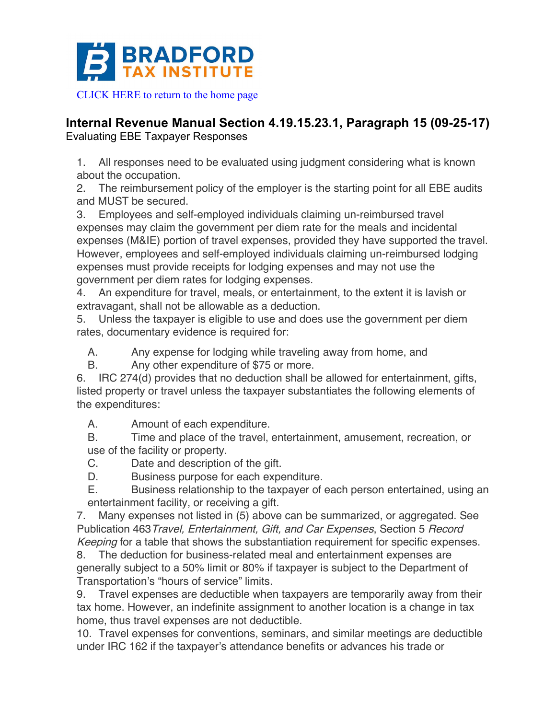

**Internal Revenue Manual Section 4.19.15.23.1, Paragraph 15 (09-25-17)** Evaluating EBE Taxpayer Responses

1. All responses need to be evaluated using judgment considering what is known about the occupation.

2. The reimbursement policy of the employer is the starting point for all EBE audits and MUST be secured.

3. Employees and self-employed individuals claiming un-reimbursed travel expenses may claim the government per diem rate for the meals and incidental expenses (M&IE) portion of travel expenses, provided they have supported the travel. However, employees and self-employed individuals claiming un-reimbursed lodging expenses must provide receipts for lodging expenses and may not use the government per diem rates for lodging expenses.

4. An expenditure for travel, meals, or entertainment, to the extent it is lavish or extravagant, shall not be allowable as a deduction.

5. Unless the taxpayer is eligible to use and does use the government per diem rates, documentary evidence is required for:

A. Any expense for lodging while traveling away from home, and

B. Any other expenditure of \$75 or more.

6. IRC 274(d) provides that no deduction shall be allowed for entertainment, gifts, listed property or travel unless the taxpayer substantiates the following elements of the expenditures:

A. Amount of each expenditure.

B. Time and place of the travel, entertainment, amusement, recreation, or use of the facility or property.

C. Date and description of the gift.

D. Business purpose for each expenditure.

E. Business relationship to the taxpayer of each person entertained, using an entertainment facility, or receiving a gift.

7. Many expenses not listed in (5) above can be summarized, or aggregated. See Publication 463Travel, Entertainment, Gift, and Car Expenses, Section 5 Record Keeping for a table that shows the substantiation requirement for specific expenses.

8. The deduction for business-related meal and entertainment expenses are generally subject to a 50% limit or 80% if taxpayer is subject to the Department of Transportation's "hours of service" limits.

9. Travel expenses are deductible when taxpayers are temporarily away from their tax home. However, an indefinite assignment to another location is a change in tax home, thus travel expenses are not deductible.

10. Travel expenses for conventions, seminars, and similar meetings are deductible under IRC 162 if the taxpayer's attendance benefits or advances his trade or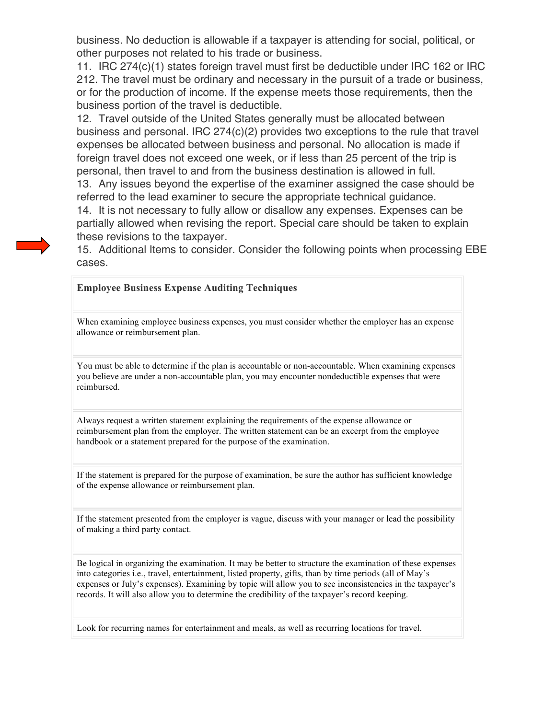business. No deduction is allowable if a taxpayer is attending for social, political, or other purposes not related to his trade or business.

11. IRC 274(c)(1) states foreign travel must first be deductible under IRC 162 or IRC 212. The travel must be ordinary and necessary in the pursuit of a trade or business, or for the production of income. If the expense meets those requirements, then the business portion of the travel is deductible.

12. Travel outside of the United States generally must be allocated between business and personal. IRC 274(c)(2) provides two exceptions to the rule that travel expenses be allocated between business and personal. No allocation is made if foreign travel does not exceed one week, or if less than 25 percent of the trip is personal, then travel to and from the business destination is allowed in full.

13. Any issues beyond the expertise of the examiner assigned the case should be referred to the lead examiner to secure the appropriate technical guidance.

14. It is not necessary to fully allow or disallow any expenses. Expenses can be partially allowed when revising the report. Special care should be taken to explain these revisions to the taxpayer.

15. Additional Items to consider. Consider the following points when processing EBE cases.

## **Employee Business Expense Auditing Techniques**

When examining employee business expenses, you must consider whether the employer has an expense allowance or reimbursement plan.

You must be able to determine if the plan is accountable or non-accountable. When examining expenses you believe are under a non-accountable plan, you may encounter nondeductible expenses that were reimbursed.

Always request a written statement explaining the requirements of the expense allowance or reimbursement plan from the employer. The written statement can be an excerpt from the employee handbook or a statement prepared for the purpose of the examination.

If the statement is prepared for the purpose of examination, be sure the author has sufficient knowledge of the expense allowance or reimbursement plan.

If the statement presented from the employer is vague, discuss with your manager or lead the possibility of making a third party contact.

Be logical in organizing the examination. It may be better to structure the examination of these expenses into categories i.e., travel, entertainment, listed property, gifts, than by time periods (all of May's expenses or July's expenses). Examining by topic will allow you to see inconsistencies in the taxpayer's records. It will also allow you to determine the credibility of the taxpayer's record keeping.

Look for recurring names for entertainment and meals, as well as recurring locations for travel.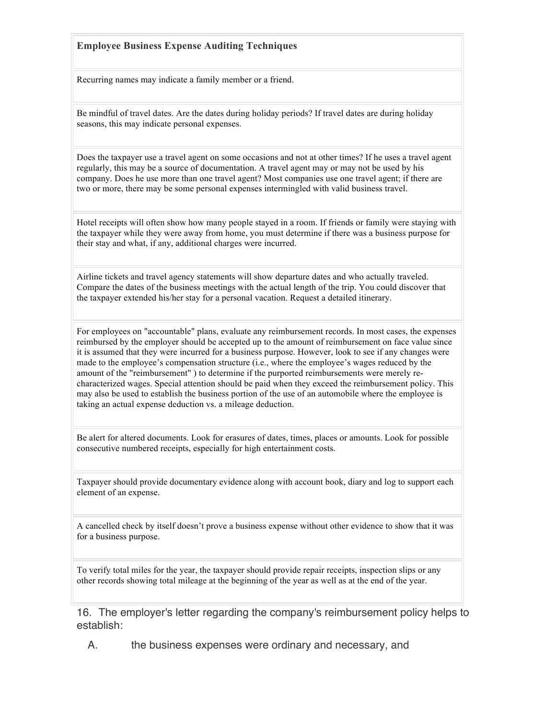## **Employee Business Expense Auditing Techniques**

Recurring names may indicate a family member or a friend.

Be mindful of travel dates. Are the dates during holiday periods? If travel dates are during holiday seasons, this may indicate personal expenses.

Does the taxpayer use a travel agent on some occasions and not at other times? If he uses a travel agent regularly, this may be a source of documentation. A travel agent may or may not be used by his company. Does he use more than one travel agent? Most companies use one travel agent; if there are two or more, there may be some personal expenses intermingled with valid business travel.

Hotel receipts will often show how many people stayed in a room. If friends or family were staying with the taxpayer while they were away from home, you must determine if there was a business purpose for their stay and what, if any, additional charges were incurred.

Airline tickets and travel agency statements will show departure dates and who actually traveled. Compare the dates of the business meetings with the actual length of the trip. You could discover that the taxpayer extended his/her stay for a personal vacation. Request a detailed itinerary.

For employees on "accountable" plans, evaluate any reimbursement records. In most cases, the expenses reimbursed by the employer should be accepted up to the amount of reimbursement on face value since it is assumed that they were incurred for a business purpose. However, look to see if any changes were made to the employee's compensation structure (i.e., where the employee's wages reduced by the amount of the "reimbursement" ) to determine if the purported reimbursements were merely recharacterized wages. Special attention should be paid when they exceed the reimbursement policy. This may also be used to establish the business portion of the use of an automobile where the employee is taking an actual expense deduction vs. a mileage deduction.

Be alert for altered documents. Look for erasures of dates, times, places or amounts. Look for possible consecutive numbered receipts, especially for high entertainment costs.

Taxpayer should provide documentary evidence along with account book, diary and log to support each element of an expense.

A cancelled check by itself doesn't prove a business expense without other evidence to show that it was for a business purpose.

To verify total miles for the year, the taxpayer should provide repair receipts, inspection slips or any other records showing total mileage at the beginning of the year as well as at the end of the year.

16. The employer's letter regarding the company's reimbursement policy helps to establish:

A. the business expenses were ordinary and necessary, and